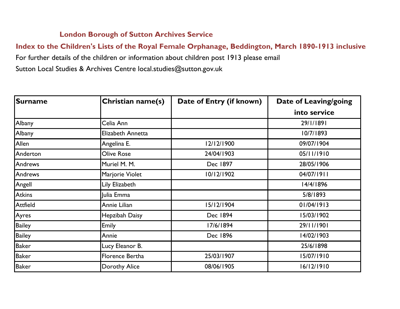## **London Borough of Sutton Archives Service**

## **Index to the Children's Lists of the Royal Female Orphanage, Beddington, March 1890-1913 inclusive**

For further details of the children or information about children post 1913 please email

Sutton Local Studies & Archives Centre local.studies@sutton.gov.uk

| <b>Surname</b>  | Christian name(s) | Date of Entry (if known) | <b>Date of Leaving/going</b> |
|-----------------|-------------------|--------------------------|------------------------------|
|                 |                   |                          | into service                 |
| Albany          | Celia Ann         |                          | 29/1/1891                    |
| Albany          | Elizabeth Annetta |                          | 10/7/1893                    |
| Allen           | Angelina E.       | 12/12/1900               | 09/07/1904                   |
| Anderton        | Olive Rose        | 24/04/1903               | 05/11/1910                   |
| <b>Andrews</b>  | Muriel M. M.      | Dec 1897                 | 28/05/1906                   |
| <b>Andrews</b>  | Marjorie Violet   | 10/12/1902               | 04/07/1911                   |
| Angell          | Lily Elizabeth    |                          | 14/4/1896                    |
| <b>Atkins</b>   | Julia Emma        |                          | 5/8/1893                     |
| <b>Attfield</b> | Annie Lilian      | 15/12/1904               | 01/04/1913                   |
| Ayres           | Hepzibah Daisy    | Dec 1894                 | 15/03/1902                   |
| <b>Bailey</b>   | Emily             | 17/6/1894                | 29/11/1901                   |
| <b>Bailey</b>   | Annie             | Dec 1896                 | 14/02/1903                   |
| <b>Baker</b>    | Lucy Eleanor B.   |                          | 25/6/1898                    |
| <b>Baker</b>    | Florence Bertha   | 25/03/1907               | 15/07/1910                   |
| <b>Baker</b>    | Dorothy Alice     | 08/06/1905               | 16/12/1910                   |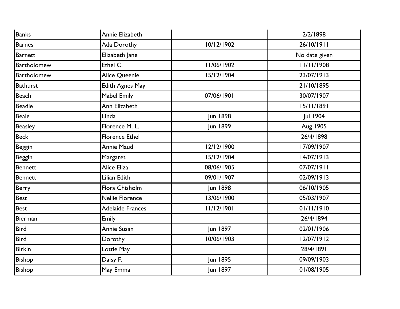| <b>Banks</b>       | Annie Elizabeth        |            | 2/2/1898      |
|--------------------|------------------------|------------|---------------|
| <b>Barnes</b>      | Ada Dorothy            | 10/12/1902 | 26/10/1911    |
| <b>Barnett</b>     | Elizabeth Jane         |            | No date given |
| <b>Bartholomew</b> | Ethel C.               | 11/06/1902 | 11/11/1908    |
| Bartholomew        | Alice Queenie          | 15/12/1904 | 23/07/1913    |
| <b>Bathurst</b>    | <b>Edith Agnes May</b> |            | 21/10/1895    |
| <b>Beach</b>       | Mabel Emily            | 07/06/1901 | 30/07/1907    |
| <b>Beadle</b>      | Ann Elizabeth          |            | 15/11/1891    |
| <b>Beale</b>       | Linda                  | Jun 1898   | Jul 1904      |
| <b>Beasley</b>     | Florence M. L.         | Jun 1899   | Aug 1905      |
| Beck               | <b>Florence Ethel</b>  |            | 26/4/1898     |
| <b>Beggin</b>      | Annie Maud             | 12/12/1900 | 17/09/1907    |
| <b>Beggin</b>      | Margaret               | 15/12/1904 | 14/07/1913    |
| Bennett            | Alice Eliza            | 08/06/1905 | 07/07/1911    |
| Bennett            | Lilian Edith           | 09/01/1907 | 02/09/1913    |
| Berry              | Flora Chisholm         | Jun 1898   | 06/10/1905    |
| <b>Best</b>        | <b>Nellie Florence</b> | 13/06/1900 | 05/03/1907    |
| <b>Best</b>        | Adelaide Frances       | 11/12/1901 | 01/11/1910    |
| Bierman            | Emily                  |            | 26/4/1894     |
| <b>Bird</b>        | Annie Susan            | Jun 1897   | 02/01/1906    |
| <b>Bird</b>        | Dorothy                | 10/06/1903 | 12/07/1912    |
| <b>Birkin</b>      | Lottie May             |            | 28/4/1891     |
| Bishop             | Daisy F.               | Jun 1895   | 09/09/1903    |
| Bishop             | May Emma               | Jun 1897   | 01/08/1905    |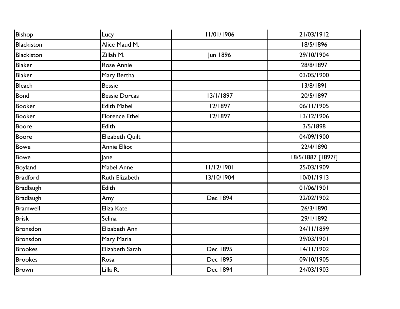| Bishop            | Lucy                  | 11/01/1906      | 21/03/1912        |
|-------------------|-----------------------|-----------------|-------------------|
| <b>Blackiston</b> | Alice Maud M.         |                 | 18/5/1896         |
| <b>Blackiston</b> | Zillah M.             | <b>Jun 1896</b> | 29/10/1904        |
| <b>Blaker</b>     | Rose Annie            |                 | 28/8/1897         |
| <b>Blaker</b>     | Mary Bertha           |                 | 03/05/1900        |
| Bleach            | <b>Bessie</b>         |                 | 13/8/1891         |
| <b>Bond</b>       | <b>Bessie Dorcas</b>  | 13/1/1897       | 20/5/1897         |
| <b>Booker</b>     | <b>Edith Mabel</b>    | 12/1897         | 06/11/1905        |
| <b>Booker</b>     | <b>Florence Ethel</b> | 12/1897         | 13/12/1906        |
| Boore             | <b>Edith</b>          |                 | 3/5/1898          |
| <b>Boore</b>      | Elizabeth Quilt       |                 | 04/09/1900        |
| Bowe              | <b>Annie Elliot</b>   |                 | 22/4/1890         |
| <b>Bowe</b>       | lane                  |                 | 18/5/1887 [1897?] |
| <b>Boyland</b>    | <b>Mabel Anne</b>     | 11/12/1901      | 25/03/1909        |
| <b>Bradford</b>   | <b>Ruth Elizabeth</b> | 13/10/1904      | 10/01/1913        |
| <b>Bradlaugh</b>  | Edith                 |                 | 01/06/1901        |
| <b>Bradlaugh</b>  | Amy                   | Dec 1894        | 22/02/1902        |
| <b>Bramwell</b>   | Eliza Kate            |                 | 26/3/1890         |
| <b>Brisk</b>      | Selina                |                 | 29/1/1892         |
| Bronsdon          | Elizabeth Ann         |                 | 24/11/1899        |
| <b>Bronsdon</b>   | Mary Maria            |                 | 29/03/1901        |
| <b>Brookes</b>    | Elizabeth Sarah       | Dec 1895        | 14/11/1902        |
| <b>Brookes</b>    | Rosa                  | Dec 1895        | 09/10/1905        |
| <b>Brown</b>      | Lilla R.              | Dec 1894        | 24/03/1903        |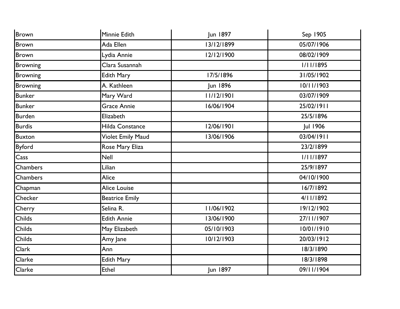| Brown           | Minnie Edith          | Jun 1897        | Sep 1905         |
|-----------------|-----------------------|-----------------|------------------|
| <b>Brown</b>    | Ada Ellen             | 13/12/1899      | 05/07/1906       |
| <b>Brown</b>    | Lydia Annie           | 12/12/1900      | 08/02/1909       |
| Browning        | Clara Susannah        |                 | <b>I/II/1895</b> |
| <b>Browning</b> | <b>Edith Mary</b>     | 17/5/1896       | 31/05/1902       |
| <b>Browning</b> | A. Kathleen           | <b>Jun 1896</b> | 10/11/1903       |
| <b>Bunker</b>   | Mary Ward             | 11/12/1901      | 03/07/1909       |
| <b>Bunker</b>   | <b>Grace Annie</b>    | 16/06/1904      | 25/02/1911       |
| <b>Burden</b>   | Elizabeth             |                 | 25/5/1896        |
| <b>Burdis</b>   | Hilda Constance       | 12/06/1901      | Jul 1906         |
| <b>Buxton</b>   | Violet Emily Maud     | 13/06/1906      | 03/04/1911       |
| <b>Byford</b>   | Rose Mary Eliza       |                 | 23/2/1899        |
| Cass            | <b>Nell</b>           |                 | 1/11/1897        |
| Chambers        | Lilian                |                 | 25/9/1897        |
| Chambers        | Alice                 |                 | 04/10/1900       |
| Chapman         | <b>Alice Louise</b>   |                 | 16/7/1892        |
| Checker         | <b>Beatrice Emily</b> |                 | 4/11/1892        |
| Cherry          | Selina R.             | 11/06/1902      | 19/12/1902       |
| Childs          | <b>Edith Annie</b>    | 13/06/1900      | 27/11/1907       |
| Childs          | May Elizabeth         | 05/10/1903      | 10/01/1910       |
| <b>Childs</b>   | Amy Jane              | 10/12/1903      | 20/03/1912       |
| Clark           | Ann                   |                 | 18/3/1890        |
| Clarke          | <b>Edith Mary</b>     |                 | 18/3/1898        |
| Clarke          | <b>Ethel</b>          | Jun 1897        | 09/11/1904       |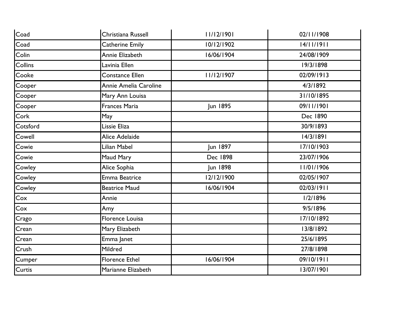| Coad     | Christiana Russell    | 11/12/1901 | 02/11/1908 |
|----------|-----------------------|------------|------------|
| Coad     | Catherine Emily       | 10/12/1902 | 14/11/1911 |
| Colin    | Annie Elizabeth       | 16/06/1904 | 24/08/1909 |
| Collins  | Lavinia Ellen         |            | 19/3/1898  |
| Cooke    | Constance Ellen       | 11/12/1907 | 02/09/1913 |
| Cooper   | Annie Amelia Caroline |            | 4/3/1892   |
| Cooper   | Mary Ann Louisa       |            | 31/10/1895 |
| Cooper   | Frances Maria         | Jun 1895   | 09/11/1901 |
| Cork     | May                   |            | Dec 1890   |
| Cotsford | Lissie Eliza          |            | 30/9/1893  |
| Cowell   | Alice Adelaide        |            | 14/3/1891  |
| Cowie    | Lilian Mabel          | Jun 1897   | 17/10/1903 |
| Cowie    | Maud Mary             | Dec 1898   | 23/07/1906 |
| Cowley   | Alice Sophia          | Jun 1898   | 11/01/1906 |
| Cowley   | <b>Emma Beatrice</b>  | 12/12/1900 | 02/05/1907 |
| Cowley   | <b>Beatrice Maud</b>  | 16/06/1904 | 02/03/1911 |
| Cox      | Annie                 |            | 1/2/1896   |
| Cox      | Amy                   |            | 9/5/1896   |
| Crago    | Florence Louisa       |            | 17/10/1892 |
| Crean    | Mary Elizabeth        |            | 13/8/1892  |
| Crean    | Emma Janet            |            | 25/6/1895  |
| Crush    | Mildred               |            | 27/8/1898  |
| Cumper   | <b>Florence Ethel</b> | 16/06/1904 | 09/10/1911 |
| Curtis   | Marianne Elizabeth    |            | 13/07/1901 |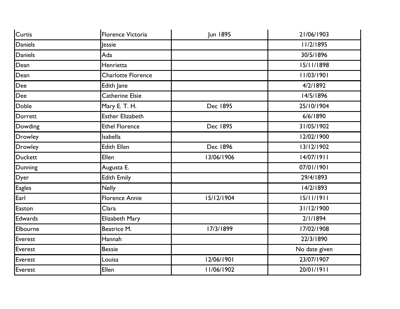| Curtis         | Florence Victoria       | Jun 1895   | 21/06/1903    |
|----------------|-------------------------|------------|---------------|
| <b>Daniels</b> | <b>Jessie</b>           |            | 11/2/1895     |
| <b>Daniels</b> | Ada                     |            | 30/5/1896     |
| Dean           | Henrietta               |            | 15/11/1898    |
| Dean           | Charlotte Florence      |            | 11/03/1901    |
| Dee            | Edith Jane              |            | 4/2/1892      |
| <b>Dee</b>     | Catherine Elsie         |            | 14/5/1896     |
| Doble          | Mary E. T. H.           | Dec 1895   | 25/10/1904    |
| Dorrett        | <b>Esther Elizabeth</b> |            | 6/6/1890      |
| Dowding        | <b>Ethel Florence</b>   | Dec 1895   | 31/05/1902    |
| <b>Drowley</b> | <b>Isabella</b>         |            | 12/02/1900    |
| Drowley        | <b>Edith Ellen</b>      | Dec 1896   | 13/12/1902    |
| <b>Duckett</b> | Ellen                   | 13/06/1906 | 14/07/1911    |
| Dunning        | Augusta E.              |            | 07/01/1901    |
| Dyer           | <b>Edith Emily</b>      |            | 29/4/1893     |
| <b>Eagles</b>  | <b>Nelly</b>            |            | 14/2/1893     |
| Earl           | <b>Florence Annie</b>   | 15/12/1904 | 15/11/1911    |
| Easton         | Clara                   |            | 31/12/1900    |
| <b>Edwards</b> | Elizabeth Mary          |            | 2/1/1894      |
| Elbourne       | Beatrice M.             | 17/3/1899  | 17/02/1908    |
| Everest        | Hannah                  |            | 22/3/1890     |
| Everest        | <b>Bessie</b>           |            | No date given |
| Everest        | Louisa                  | 12/06/1901 | 23/07/1907    |
| Everest        | Ellen                   | 11/06/1902 | 20/01/1911    |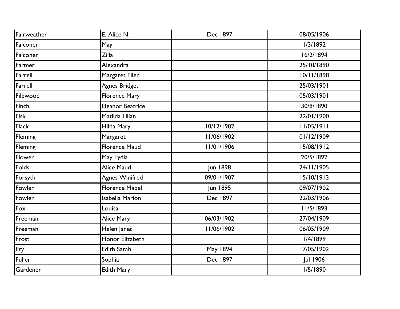| Fairweather | E. Alice N.             | Dec 1897   | 08/05/1906 |
|-------------|-------------------------|------------|------------|
| Falconer    | May                     |            | 1/3/1892   |
| Falconer    | Zilla                   |            | 16/2/1894  |
| Farmer      | Alexandra               |            | 25/10/1890 |
| Farrell     | Margaret Ellen          |            | 10/11/1898 |
| Farrell     | Agnes Bridget           |            | 25/03/1901 |
| Filewood    | Florence Mary           |            | 05/03/1901 |
| Finch       | <b>Eleanor Beatrice</b> |            | 30/8/1890  |
| Fisk        | Matilda Lilian          |            | 22/01/1900 |
| Flack       | Hilda Mary              | 10/12/1902 | 11/05/1911 |
| Fleming     | Margaret                | 11/06/1902 | 01/12/1909 |
| Fleming     | <b>Florence Maud</b>    | 11/01/1906 | 15/08/1912 |
| Flower      | May Lydia               |            | 20/5/1892  |
| Folds       | Alice Maud              | Jun 1898   | 24/11/1905 |
| Forsyth     | <b>Agnes Winifred</b>   | 09/01/1907 | 15/10/1913 |
| Fowler      | <b>Florence Mabel</b>   | Jun 1895   | 09/07/1902 |
| Fowler      | <b>Isabella Marion</b>  | Dec 1897   | 22/03/1906 |
| Fox         | Louisa                  |            | 11/5/1893  |
| Freeman     | Alice Mary              | 06/03/1902 | 27/04/1909 |
| Freeman     | Helen Janet             | 11/06/1902 | 06/05/1909 |
| Frost       | Honor Elizabeth         |            | 1/4/1899   |
| Fry         | <b>Edith Sarah</b>      | May 1894   | 17/05/1902 |
| Fuller      | Sophia                  | Dec 1897   | Jul 1906   |
| Gardener    | Edith Mary              |            | 1/5/1890   |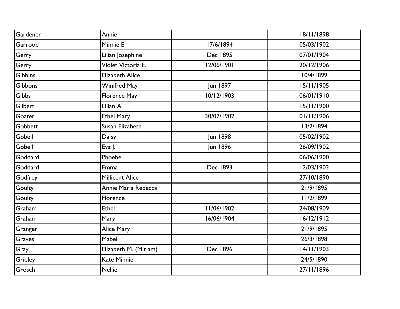| Gardener       | Annie                  |                 | 18/11/1898 |
|----------------|------------------------|-----------------|------------|
| Garrood        | Minnie E               | 17/6/1894       | 05/03/1902 |
| Gerry          | Lilian Josephine       | Dec 1895        | 07/01/1904 |
| Gerry          | Violet Victoria E.     | 12/06/1901      | 20/12/1906 |
| <b>Gibbins</b> | <b>Elizabeth Alice</b> |                 | 10/4/1899  |
| Gibbons        | <b>Winifred May</b>    | Jun 1897        | 15/11/1905 |
| <b>Gibbs</b>   | Florence May           | 10/12/1903      | 06/01/1910 |
| Gilbert        | Lilian A.              |                 | 15/11/1900 |
| Goater         | <b>Ethel Mary</b>      | 30/07/1902      | 01/11/1906 |
| Gobbett        | Susan Elizabeth        |                 | 13/2/1894  |
| Gobell         | Daisy                  | <b>Jun 1898</b> | 05/02/1902 |
| Gobell         | Eva J.                 | Jun 1896        | 26/09/1902 |
| Goddard        | Phoebe                 |                 | 06/06/1900 |
| Goddard        | Emma                   | Dec 1893        | 12/03/1902 |
| Godfrey        | <b>Millicent Alice</b> |                 | 27/10/1890 |
| Goulty         | Annie Maria Rebecca    |                 | 21/9/1895  |
| Goulty         | Florence               |                 | 11/2/1899  |
| Graham         | <b>Ethel</b>           | 11/06/1902      | 24/08/1909 |
| Graham         | Mary                   | 16/06/1904      | 16/12/1912 |
| Granger        | <b>Alice Mary</b>      |                 | 21/9/1895  |
| Graves         | Mabel                  |                 | 26/3/1898  |
| Gray           | Elizabeth M. (Miriam)  | <b>Dec 1896</b> | 14/11/1903 |
| Gridley        | <b>Kate Minnie</b>     |                 | 24/5/1890  |
| Grosch         | <b>Nellie</b>          |                 | 27/11/1896 |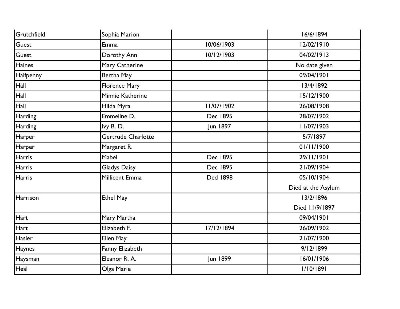| Grutchfield   | Sophia Marion        |                 | 16/6/1894          |
|---------------|----------------------|-----------------|--------------------|
| Guest         | Emma                 | 10/06/1903      | 12/02/1910         |
| Guest         | Dorothy Ann          | 10/12/1903      | 04/02/1913         |
| Haines        | Mary Catherine       |                 | No date given      |
| Halfpenny     | Bertha May           |                 | 09/04/1901         |
| Hall          | <b>Florence Mary</b> |                 | 13/4/1892          |
| Hall          | Minnie Katherine     |                 | 15/12/1900         |
| Hall          | Hilda Myra           | 11/07/1902      | 26/08/1908         |
| Harding       | Emmeline D.          | Dec 1895        | 28/07/1902         |
| Harding       | lvy B.D.             | Jun 1897        | 11/07/1903         |
| Harper        | Gertrude Charlotte   |                 | 5/7/1897           |
| Harper        | Margaret R.          |                 | 01/11/1900         |
| <b>Harris</b> | Mabel                | Dec 1895        | 29/11/1901         |
| <b>Harris</b> | Gladys Daisy         | Dec 1895        | 21/09/1904         |
| <b>Harris</b> | Millicent Emma       | <b>Ded 1898</b> | 05/10/1904         |
|               |                      |                 | Died at the Asylum |
| Harrison      | <b>Ethel May</b>     |                 | 13/2/1896          |
|               |                      |                 | Died 11/9/1897     |
| Hart          | Mary Martha          |                 | 09/04/1901         |
| Hart          | Elizabeth F.         | 17/12/1894      | 26/09/1902         |
| Hasler        | Ellen May            |                 | 21/07/1900         |
| Haynes        | Fanny Elizabeth      |                 | 9/12/1899          |
| Haysman       | Eleanor R. A.        | Jun 1899        | 16/01/1906         |
| Heal          | Olga Marie           |                 | 1/10/1891          |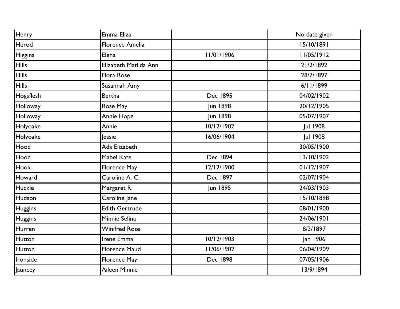| Henry          | Emma Eliza             |            | No date given   |
|----------------|------------------------|------------|-----------------|
| Herod          | <b>Florence Amelia</b> |            | 15/10/1891      |
| <b>Higgins</b> | Elena                  | 11/01/1906 | 11/05/1912      |
| <b>Hills</b>   | Elizabeth Matilda Ann  |            | 21/2/1892       |
| <b>Hills</b>   | Flora Rose             |            | 28/7/1897       |
| <b>Hills</b>   | Susannah Amy           |            | 6/11/1899       |
| Hogsflesh      | <b>Bertha</b>          | Dec 1895   | 04/02/1902      |
| Holloway       | Rose May               | Jun 1898   | 20/12/1905      |
| Holloway       | <b>Annie Hope</b>      | Jun 1898   | 05/07/1907      |
| Holyoake       | Annie                  | 10/12/1902 | Jul 1908        |
| Holyoake       | lessie                 | 16/06/1904 | <b>Jul 1908</b> |
| Hood           | Ada Elizabeth          |            | 30/05/1900      |
| Hood           | <b>Mabel Kate</b>      | Dec 1894   | 13/10/1902      |
| <b>Hook</b>    | Florence May           | 12/12/1900 | 01/12/1907      |
| Howard         | Caroline A. C.         | Dec 1897   | 02/07/1904      |
| Huckle         | Margaret R.            | Jun 1895   | 24/03/1903      |
| Hudson         | Caroline Jane          |            | 15/10/1898      |
| <b>Huggins</b> | <b>Edith Gertrude</b>  |            | 08/01/1900      |
| <b>Huggins</b> | Minnie Selina          |            | 24/06/1901      |
| Hurren         | <b>Winifred Rose</b>   |            | 8/3/1897        |
| Hutton         | Irene Emma             | 10/12/1903 | Jan 1906        |
| Hutton         | <b>Florence Maud</b>   | 11/06/1902 | 06/04/1909      |
| Ironside       | Florence May           | Dec 1898   | 07/05/1906      |
| Jauncey        | Aileen Minnie          |            | 13/9/1894       |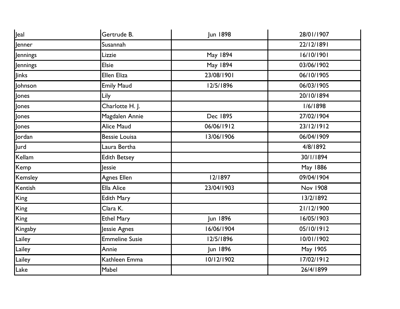| Jeal        | Gertrude B.           | Jun 1898        | 28/01/1907      |
|-------------|-----------------------|-----------------|-----------------|
| Jenner      | Susannah              |                 | 22/12/1891      |
| Jennings    | Lizzie                | <b>May 1894</b> | 16/10/1901      |
| Jennings    | <b>Elsie</b>          | <b>May 1894</b> | 03/06/1902      |
| Jinks       | Ellen Eliza           | 23/08/1901      | 06/10/1905      |
| Johnson     | <b>Emily Maud</b>     | 12/5/1896       | 06/03/1905      |
| Jones       | Lily                  |                 | 20/10/1894      |
| Jones       | Charlotte H. J.       |                 | 1/6/1898        |
| Jones       | Magdalen Annie        | Dec 1895        | 27/02/1904      |
| Jones       | Alice Maud            | 06/06/1912      | 23/12/1912      |
| Jordan      | <b>Bessie Louisa</b>  | 13/06/1906      | 06/04/1909      |
| <b>Jurd</b> | Laura Bertha          |                 | 4/8/1892        |
| Kellam      | <b>Edith Betsey</b>   |                 | 30/1/1894       |
| Kemp        | <b>Jessie</b>         |                 | May 1886        |
| Kemsley     | <b>Agnes Ellen</b>    | 12/1897         | 09/04/1904      |
| Kentish     | <b>Ella Alice</b>     | 23/04/1903      | <b>Nov 1908</b> |
| King        | <b>Edith Mary</b>     |                 | 13/2/1892       |
| King        | Clara K.              |                 | 21/12/1900      |
| King        | <b>Ethel Mary</b>     | Jun 1896        | 16/05/1903      |
| Kingaby     | Jessie Agnes          | 16/06/1904      | 05/10/1912      |
| Lailey      | <b>Emmeline Susie</b> | 12/5/1896       | 10/01/1902      |
| Lailey      | Annie                 | Jun 1896        | May 1905        |
| Lailey      | Kathleen Emma         | 10/12/1902      | 17/02/1912      |
| Lake        | Mabel                 |                 | 26/4/1899       |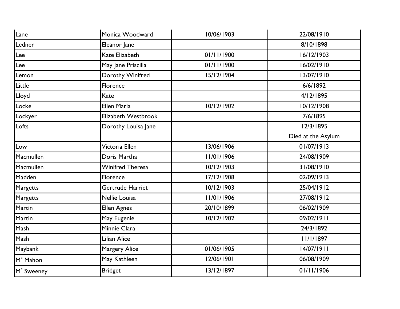| Lane                   | Monica Woodward      | 10/06/1903 | 22/08/1910         |
|------------------------|----------------------|------------|--------------------|
| Ledner                 | Eleanor Jane         |            | 8/10/1898          |
| Lee                    | Kate Elizabeth       | 01/11/1900 | 16/12/1903         |
| Lee                    | May Jane Priscilla   | 01/11/1900 | 16/02/1910         |
| Lemon                  | Dorothy Winifred     | 15/12/1904 | 13/07/1910         |
| Little                 | Florence             |            | 6/6/1892           |
| Lloyd                  | Kate                 |            | 4/12/1895          |
| Locke                  | <b>Ellen Maria</b>   | 10/12/1902 | 10/12/1908         |
| Lockyer                | Elizabeth Westbrook  |            | 7/6/1895           |
| Lofts                  | Dorothy Louisa Jane  |            | 12/3/1895          |
|                        |                      |            | Died at the Asylum |
| Low                    | Victoria Ellen       | 13/06/1906 | 01/07/1913         |
| Macmullen              | Doris Martha         | 11/01/1906 | 24/08/1909         |
| Macmullen              | Winifred Theresa     | 10/12/1903 | 31/08/1910         |
| Madden                 | Florence             | 17/12/1908 | 02/09/1913         |
| Margetts               | Gertrude Harriet     | 10/12/1903 | 25/04/1912         |
| Margetts               | Nellie Louisa        | 11/01/1906 | 27/08/1912         |
| Martin                 | <b>Ellen Agnes</b>   | 20/10/1899 | 06/02/1909         |
| Martin                 | May Eugenie          | 10/12/1902 | 09/02/1911         |
| Mash                   | Minnie Clara         |            | 24/3/1892          |
| Mash                   | Lilian Alice         |            | 11/1/1897          |
| Maybank                | <b>Margery Alice</b> | 01/06/1905 | 14/07/1911         |
| M <sup>c</sup> Mahon   | May Kathleen         | 12/06/1901 | 06/08/1909         |
| M <sup>c</sup> Sweeney | <b>Bridget</b>       | 13/12/1897 | 01/11/1906         |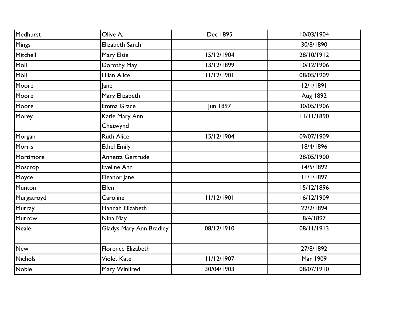| Medhurst       | Olive A.                | Dec 1895   | 10/03/1904 |
|----------------|-------------------------|------------|------------|
| <b>Mings</b>   | Elizabeth Sarah         |            | 30/8/1890  |
| Mitchell       | Mary Elsie              | 15/12/1904 | 28/10/1912 |
| Möll           | Dorothy May             | 13/12/1899 | 10/12/1906 |
| Möll           | Lilian Alice            | 11/12/1901 | 08/05/1909 |
| Moore          | lane                    |            | 12/1/1891  |
| Moore          | Mary Elizabeth          |            | Aug 1892   |
| Moore          | Emma Grace              | Jun 1897   | 30/05/1906 |
| Morey          | Katie Mary Ann          |            | 11/11/1890 |
|                | Chetwynd                |            |            |
| Morgan         | <b>Ruth Alice</b>       | 15/12/1904 | 09/07/1909 |
| Morris         | <b>Ethel Emily</b>      |            | 18/4/1896  |
| Mortimore      | Annetta Gertrude        |            | 28/05/1900 |
| Moscrop        | <b>Eveline Ann</b>      |            | 14/5/1892  |
| Moyce          | Eleanor Jane            |            | 11/1/1897  |
| Munton         | Ellen                   |            | 15/12/1896 |
| Murgatroyd     | Caroline                | 11/12/1901 | 16/12/1909 |
| Murray         | Hannah Elizabeth        |            | 22/2/1894  |
| Murrow         | Nina May                |            | 8/4/1897   |
| <b>Neale</b>   | Gladys Mary Ann Bradley | 08/12/1910 | 08/11/1913 |
| <b>New</b>     | Florence Elizabeth      |            | 27/8/1892  |
| <b>Nichols</b> | <b>Violet Kate</b>      | 11/12/1907 | Mar 1909   |
| <b>Noble</b>   | Mary Winifred           | 30/04/1903 | 08/07/1910 |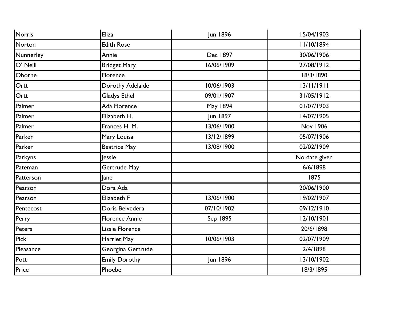| Norris      | <b>Eliza</b>          | Jun 1896   | 15/04/1903      |
|-------------|-----------------------|------------|-----------------|
| Norton      | <b>Edith Rose</b>     |            | 11/10/1894      |
| Nunnerley   | Annie                 | Dec 1897   | 30/06/1906      |
| O' Neill    | <b>Bridget Mary</b>   | 16/06/1909 | 27/08/1912      |
| Oborne      | Florence              |            | 18/3/1890       |
| Ortt        | Dorothy Adelaide      | 10/06/1903 | 13/11/1911      |
| Ortt        | <b>Gladys Ethel</b>   | 09/01/1907 | 31/05/1912      |
| Palmer      | Ada Florence          | May 1894   | 01/07/1903      |
| Palmer      | Elizabeth H.          | Jun 1897   | 14/07/1905      |
| Palmer      | Frances H. M.         | 13/06/1900 | <b>Nov 1906</b> |
| Parker      | Mary Louisa           | 13/12/1899 | 05/07/1906      |
| Parker      | <b>Beatrice May</b>   | 13/08/1900 | 02/02/1909      |
| Parkyns     | lessie                |            | No date given   |
| Pateman     | Gertrude May          |            | 6/6/1898        |
| Patterson   | Jane                  |            | 1875            |
| Pearson     | Dora Ada              |            | 20/06/1900      |
| Pearson     | Elizabeth F           | 13/06/1900 | 19/02/1907      |
| Pentecost   | Doris Belvedera       | 07/10/1902 | 09/12/1910      |
| Perry       | <b>Florence Annie</b> | Sep 1895   | 12/10/1901      |
| Peters      | Lissie Florence       |            | 20/6/1898       |
| <b>Pick</b> | Harriet May           | 10/06/1903 | 02/07/1909      |
| Pleasance   | Georgina Gertrude     |            | 2/4/1898        |
| Pott        | <b>Emily Dorothy</b>  | Jun 1896   | 13/10/1902      |
| Price       | Phoebe                |            | 18/3/1895       |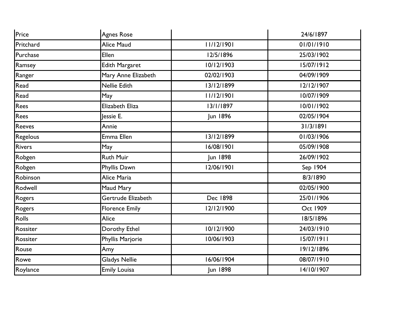| Price         | <b>Agnes Rose</b>     |            | 24/6/1897  |
|---------------|-----------------------|------------|------------|
| Pritchard     | Alice Maud            | 11/12/1901 | 01/01/1910 |
| Purchase      | Ellen                 | 12/5/1896  | 25/03/1902 |
| Ramsey        | Edith Margaret        | 10/12/1903 | 15/07/1912 |
| Ranger        | Mary Anne Elizabeth   | 02/02/1903 | 04/09/1909 |
| Read          | Nellie Edith          | 13/12/1899 | 12/12/1907 |
| Read          | May                   | 11/12/1901 | 10/07/1909 |
| Rees          | Elizabeth Eliza       | 13/1/1897  | 10/01/1902 |
| Rees          | lessie E.             | Jun 1896   | 02/05/1904 |
| Reeves        | Annie                 |            | 31/3/1891  |
| Regelous      | Emma Ellen            | 13/12/1899 | 01/03/1906 |
| <b>Rivers</b> | May                   | 16/08/1901 | 05/09/1908 |
| Robgen        | <b>Ruth Muir</b>      | Jun 1898   | 26/09/1902 |
| Robgen        | Phyllis Dawn          | 12/06/1901 | Sep 1904   |
| Robinson      | Alice Maria           |            | 8/3/1890   |
| Rodwell       | Maud Mary             |            | 02/05/1900 |
| Rogers        | Gertrude Elizabeth    | Dec 1898   | 25/01/1906 |
| Rogers        | <b>Florence Emily</b> | 12/12/1900 | Oct 1909   |
| Rolls         | Alice                 |            | 18/5/1896  |
| Rossiter      | Dorothy Ethel         | 10/12/1900 | 24/03/1910 |
| Rossiter      | Phyllis Marjorie      | 10/06/1903 | 15/07/1911 |
| Rouse         | Amy                   |            | 19/12/1896 |
| Rowe          | <b>Gladys Nellie</b>  | 16/06/1904 | 08/07/1910 |
| Roylance      | <b>Emily Louisa</b>   | Jun 1898   | 14/10/1907 |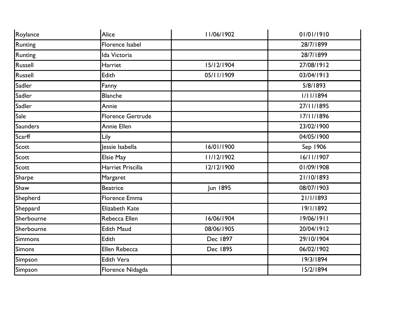| Roylance        | Alice                    | 11/06/1902 | 01/01/1910 |
|-----------------|--------------------------|------------|------------|
| <b>Runting</b>  | Florence Isabel          |            | 28/7/1899  |
| Runting         | Ida Victoria             |            | 28/7/1899  |
| Russell         | Harriet                  | 15/12/1904 | 27/08/1912 |
| Russell         | Edith                    | 05/11/1909 | 03/04/1913 |
| Sadler          | Fanny                    |            | 5/8/1893   |
| Sadler          | <b>Blanche</b>           |            | 1/11/1894  |
| Sadler          | Annie                    |            | 27/11/1895 |
| Sale            | <b>Florence Gertrude</b> |            | 17/11/1896 |
| <b>Saunders</b> | Annie Ellen              |            | 23/02/1900 |
| Scarff          | Lily                     |            | 04/05/1900 |
| Scott           | lessie Isabella          | 16/01/1900 | Sep 1906   |
| Scott           | <b>Elsie May</b>         | 11/12/1902 | 16/11/1907 |
| Scott           | Harriet Priscilla        | 12/12/1900 | 01/09/1908 |
| Sharpe          | Margaret                 |            | 21/10/1893 |
| Shaw            | <b>Beatrice</b>          | Jun 1895   | 08/07/1903 |
| Shepherd        | <b>Florence Emma</b>     |            | 21/1/1893  |
| Sheppard        | Elizabeth Kate           |            | 19/1/1892  |
| Sherbourne      | Rebecca Ellen            | 16/06/1904 | 19/06/1911 |
| Sherbourne      | <b>Edith Maud</b>        | 08/06/1905 | 20/04/1912 |
| Simmons         | <b>Edith</b>             | Dec 1897   | 29/10/1904 |
| <b>Simons</b>   | Ellen Rebecca            | Dec 1895   | 06/02/1902 |
| Simpson         | <b>Edith Vera</b>        |            | 19/3/1894  |
| Simpson         | Florence Nidagda         |            | 15/2/1894  |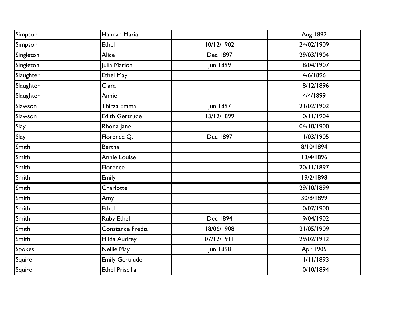| Simpson       | Hannah Maria           |            | Aug 1892   |
|---------------|------------------------|------------|------------|
| Simpson       | <b>Ethel</b>           | 10/12/1902 | 24/02/1909 |
| Singleton     | Alice                  | Dec 1897   | 29/03/1904 |
| Singleton     | Julia Marion           | Jun 1899   | 18/04/1907 |
| Slaughter     | <b>Ethel May</b>       |            | 4/6/1896   |
| Slaughter     | Clara                  |            | 18/12/1896 |
| Slaughter     | Annie                  |            | 4/4/1899   |
| Slawson       | Thirza Emma            | Jun 1897   | 21/02/1902 |
| Slawson       | <b>Edith Gertrude</b>  | 13/12/1899 | 10/11/1904 |
| Slay          | Rhoda Jane             |            | 04/10/1900 |
| Slay          | Florence Q.            | Dec 1897   | 11/03/1905 |
| Smith         | <b>Bertha</b>          |            | 8/10/1894  |
| Smith         | <b>Annie Louise</b>    |            | 13/4/1896  |
| Smith         | Florence               |            | 20/11/1897 |
| Smith         | <b>Emily</b>           |            | 19/2/1898  |
| Smith         | Charlotte              |            | 29/10/1899 |
| Smith         | Amy                    |            | 30/8/1899  |
| Smith         | <b>Ethel</b>           |            | 10/07/1900 |
| Smith         | <b>Ruby Ethel</b>      | Dec 1894   | 19/04/1902 |
| Smith         | Constance Fredia       | 18/06/1908 | 21/05/1909 |
| Smith         | Hilda Audrey           | 07/12/1911 | 29/02/1912 |
| <b>Spokes</b> | Nellie May             | Jun 1898   | Apr 1905   |
| Squire        | <b>Emily Gertrude</b>  |            | 11/11/1893 |
| Squire        | <b>Ethel Priscilla</b> |            | 10/10/1894 |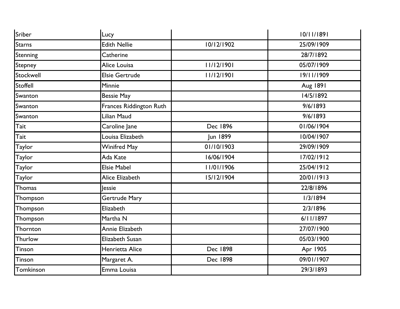| Sriber          | Lucy                    |            | 10/11/1891 |
|-----------------|-------------------------|------------|------------|
| <b>Starns</b>   | <b>Edith Nellie</b>     | 10/12/1902 | 25/09/1909 |
| Stenning        | Catherine               |            | 28/7/1892  |
| Stepney         | Alice Louisa            | 11/12/1901 | 05/07/1909 |
| Stockwell       | <b>Elsie Gertrude</b>   | 11/12/1901 | 19/11/1909 |
| <b>Stoffell</b> | Minnie                  |            | Aug 1891   |
| Swanton         | <b>Bessie May</b>       |            | 14/5/1892  |
| Swanton         | Frances Riddington Ruth |            | 9/6/1893   |
| Swanton         | Lilian Maud             |            | 9/6/1893   |
| Tait            | Caroline Jane           | Dec 1896   | 01/06/1904 |
| Tait            | Louisa Elizabeth        | Jun 1899   | 10/04/1907 |
| Taylor          | <b>Winifred May</b>     | 01/10/1903 | 29/09/1909 |
| <b>Taylor</b>   | Ada Kate                | 16/06/1904 | 17/02/1912 |
| Taylor          | <b>Elsie Mabel</b>      | 11/01/1906 | 25/04/1912 |
| Taylor          | Alice Elizabeth         | 15/12/1904 | 20/01/1913 |
| Thomas          | <b>Jessie</b>           |            | 22/8/1896  |
| Thompson        | Gertrude Mary           |            | 1/3/1894   |
| Thompson        | Elizabeth               |            | 2/3/1896   |
| Thompson        | Martha N                |            | 6/11/1897  |
| Thornton        | Annie Elizabeth         |            | 27/07/1900 |
| Thurlow         | Elizabeth Susan         |            | 05/03/1900 |
| Tinson          | Henrietta Alice         | Dec 1898   | Apr 1905   |
| <b>Tinson</b>   | Margaret A.             | Dec 1898   | 09/01/1907 |
| Tomkinson       | Emma Louisa             |            | 29/3/1893  |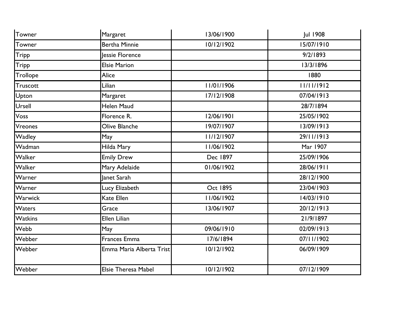| Towner         | Margaret                   | 13/06/1900      | <b>Jul 1908</b> |
|----------------|----------------------------|-----------------|-----------------|
| Towner         | <b>Bertha Minnie</b>       | 10/12/1902      | 15/07/1910      |
| <b>Tripp</b>   | Jessie Florence            |                 | 9/2/1893        |
| <b>Tripp</b>   | <b>Elsie Marion</b>        |                 | 13/3/1896       |
| Trollope       | Alice                      |                 | 1880            |
| Truscott       | Lilian                     | 11/01/1906      | 11/11/1912      |
| Upton          | Margaret                   | 17/12/1908      | 07/04/1913      |
| Ursell         | Helen Maud                 |                 | 28/7/1894       |
| Voss           | Florence R.                | 12/06/1901      | 25/05/1902      |
| Vreones        | Olive Blanche              | 19/07/1907      | 13/09/1913      |
| Wadley         | May                        | 11/12/1907      | 29/11/1913      |
| Wadman         | Hilda Mary                 | 11/06/1902      | Mar 1907        |
| Walker         | <b>Emily Drew</b>          | Dec 1897        | 25/09/1906      |
| Walker         | Mary Adelaide              | 01/06/1902      | 28/06/1911      |
| Warner         | Janet Sarah                |                 | 28/12/1900      |
| Warner         | Lucy Elizabeth             | <b>Oct 1895</b> | 23/04/1903      |
| Warwick        | Kate Ellen                 | 11/06/1902      | 14/03/1910      |
| Waters         | Grace                      | 13/06/1907      | 20/12/1913      |
| <b>Watkins</b> | <b>Ellen Lilian</b>        |                 | 21/9/1897       |
| Webb           | May                        | 09/06/1910      | 02/09/1913      |
| Webber         | Frances Emma               | 17/6/1894       | 07/11/1902      |
| Webber         | Emma Maria Alberta Trist   | 10/12/1902      | 06/09/1909      |
| Webber         | <b>Elsie Theresa Mabel</b> | 10/12/1902      | 07/12/1909      |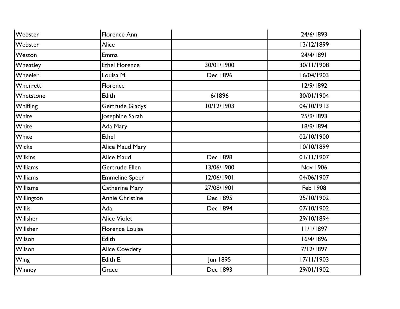| Webster         | <b>Florence Ann</b>    |            | 24/6/1893       |
|-----------------|------------------------|------------|-----------------|
| Webster         | Alice                  |            | 13/12/1899      |
| Weston          | <b>Emma</b>            |            | 24/4/1891       |
| Wheatley        | <b>Ethel Florence</b>  | 30/01/1900 | 30/11/1908      |
| Wheeler         | Louisa M.              | Dec 1896   | 16/04/1903      |
| Wherrett        | Florence               |            | 12/9/1892       |
| Whetstone       | Edith                  | 6/1896     | 30/01/1904      |
| Whiffing        | Gertrude Gladys        | 10/12/1903 | 04/10/1913      |
| White           | Josephine Sarah        |            | 25/9/1893       |
| White           | Ada Mary               |            | 18/9/1894       |
| White           | <b>Ethel</b>           |            | 02/10/1900      |
| <b>Wicks</b>    | Alice Maud Mary        |            | 10/10/1899      |
| <b>Wilkins</b>  | <b>Alice Maud</b>      | Dec 1898   | 01/11/1907      |
| <b>Williams</b> | Gertrude Ellen         | 13/06/1900 | <b>Nov 1906</b> |
| <b>Williams</b> | <b>Emmeline Speer</b>  | 12/06/1901 | 04/06/1907      |
| <b>Williams</b> | Catherine Mary         | 27/08/1901 | <b>Feb 1908</b> |
| Willington      | Annie Christine        | Dec 1895   | 25/10/1902      |
| <b>Willis</b>   | Ada                    | Dec 1894   | 07/10/1902      |
| Willsher        | <b>Alice Violet</b>    |            | 29/10/1894      |
| Willsher        | <b>Florence Louisa</b> |            | 11/1/1897       |
| Wilson          | Edith                  |            | 16/4/1896       |
| Wilson          | <b>Alice Cowdery</b>   |            | 7/12/1897       |
| <b>Wing</b>     | Edith E.               | Jun 1895   | 17/11/1903      |
| Winney          | Grace                  | Dec 1893   | 29/01/1902      |